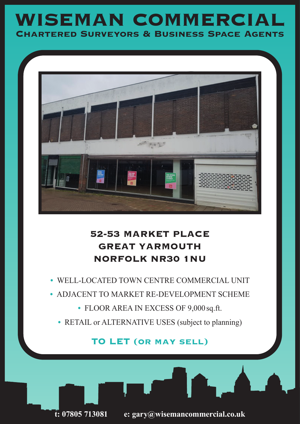# **WISEMAN COMMERCIAL Chartered Surveyors & Business Space Agents**



## **52-53 MARKET PLACE GREAT YARMOUTH NORFOLK NR30 1NU**

- **•** WELL-LOCATED TOWN CENTRE COMMERCIAL UNIT
- **•** ADJACENT TO MARKET RE-DEVELOPMENT SCHEME
	- **•** FLOOR AREA IN EXCESS OF 9,000 sq.ft.
	- **•** RETAIL or ALTERNATIVE USES (subject to planning)

### **TO LET (or may sell)**



**t: 07805 713081 e: gary@wisemancommercial.co.uk**